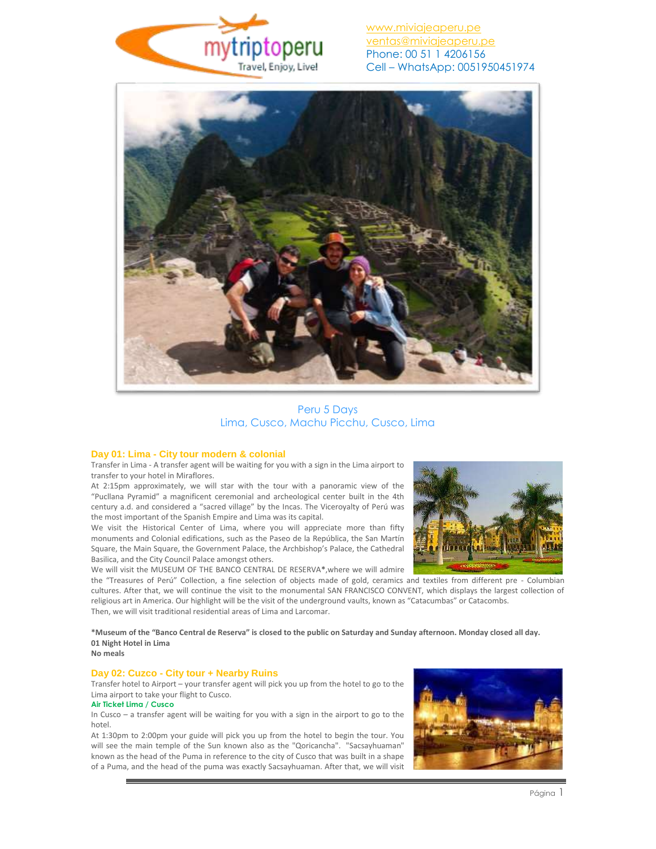

[www.miviajeaperu.pe](http://www.miviajeaperu.pe/) [ventas@miviajeaperu.pe](mailto:ventas@miviajeaperu.pe) Phone: 00 51 1 4206156 Cell – WhatsApp: 0051950451974



Peru 5 Days Lima, Cusco, Machu Picchu, Cusco, Lima

### **Day 01: Lima - City tour modern & colonial**

Transfer in Lima - A transfer agent will be waiting for you with a sign in the Lima airport to transfer to your hotel in Miraflores.

At 2:15pm approximately, we will star with the tour with a panoramic view of the "Pucllana Pyramid" a magnificent ceremonial and archeological center built in the 4th century a.d. and considered a "sacred village" by the Incas. The Viceroyalty of Perú was the most important of the Spanish Empire and Lima was its capital.

We visit the Historical Center of Lima, where you will appreciate more than fifty monuments and Colonial edifications, such as the Paseo de la República, the San Martín Square, the Main Square, the Government Palace, the Archbishop's Palace, the Cathedral Basilica, and the City Council Palace amongst others.

We will visit the MUSEUM OF THE BANCO CENTRAL DE RESERVA**\***,where we will admire



the "Treasures of Perú" Collection, a fine selection of objects made of gold, ceramics and textiles from different pre - Columbian cultures. After that, we will continue the visit to the monumental SAN FRANCISCO CONVENT, which displays the largest collection of religious art in America. Our highlight will be the visit of the underground vaults, known as "Catacumbas" or Catacombs. Then, we will visit traditional residential areas of Lima and Larcomar.

**\*Museum of the "Banco Central de Reserva" is closed to the public on Saturday and Sunday afternoon. Monday closed all day. 01 Night Hotel in Lima No meals**

### **Day 02: Cuzco - City tour + Nearby Ruins**

Transfer hotel to Airport – your transfer agent will pick you up from the hotel to go to the Lima airport to take your flight to Cusco.

### **Air Ticket Lima / Cusco**

In Cusco – a transfer agent will be waiting for you with a sign in the airport to go to the hotel.

At 1:30pm to 2:00pm your guide will pick you up from the hotel to begin the tour. You will see the main temple of the Sun known also as the "Qoricancha". "Sacsayhuaman" known as the head of the Puma in reference to the city of Cusco that was built in a shape of a Puma, and the head of the puma was exactly Sacsayhuaman. After that, we will visit

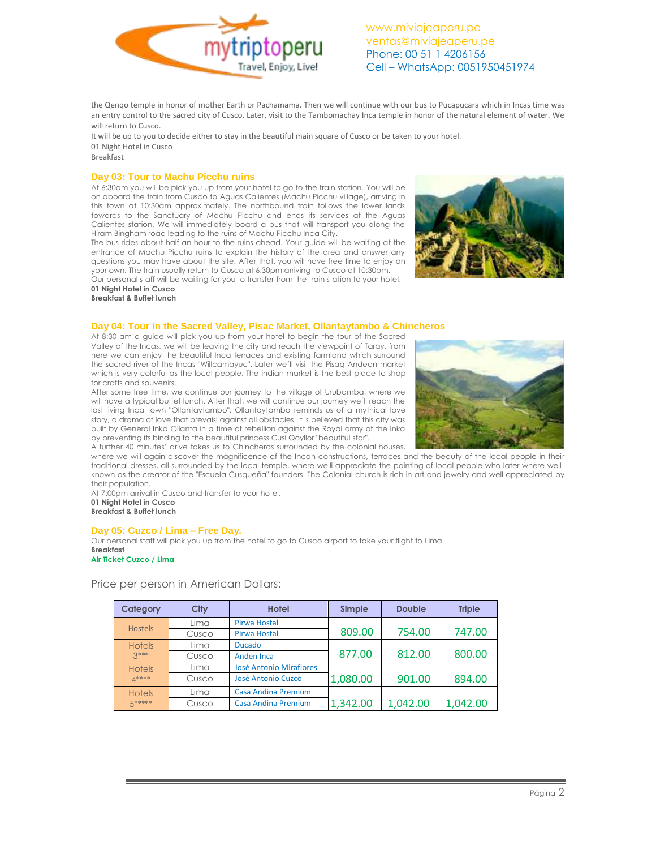

[www.miviajeaperu.pe](http://www.miviajeaperu.pe/) [ventas@miviajeaperu.pe](mailto:ventas@miviajeaperu.pe) Phone: 00 51 1 4206156 Cell – WhatsApp: 0051950451974

the Qenqo temple in honor of mother Earth or Pachamama. Then we will continue with our bus to Pucapucara which in Incas time was an entry control to the sacred city of Cusco. Later, visit to the Tambomachay Inca temple in honor of the natural element of water. We will return to Cusco.

It will be up to you to decide either to stay in the beautiful main square of Cusco or be taken to your hotel. 01 Night Hotel in Cusco

Breakfast

### **Day 03: Tour to Machu Picchu ruins**

At 6:30am you will be pick you up from your hotel to go to the train station. You will be on aboard the train from Cusco to Aguas Calientes (Machu Picchu village), arriving in this town at 10:30am approximately. The northbound train follows the lower lands towards to the Sanctuary of Machu Picchu and ends its services at the Aguas Calientes station. We will immediately board a bus that will transport you along the Hiram Bingham road leading to the ruins of Machu Picchu Inca City.

The bus rides about half an hour to the ruins ahead. Your guide will be waiting at the entrance of Machu Picchu ruins to explain the history of the area and answer any questions you may have about the site. After that, you will have free time to enjoy on your own. The train usually return to Cusco at 6:30pm arriving to Cusco at 10:30pm. Our personal staff will be waiting for you to transfer from the train station to your hotel.



**01 Night Hotel in Cusco Breakfast & Buffet lunch**

### **Day 04: Tour in the Sacred Valley, Pisac Market, Ollantaytambo & Chincheros**

At 8:30 am a guide will pick you up from your hotel to begin the tour of the Sacred Valley of the Incas, we will be leaving the city and reach the viewpoint of Taray, from here we can enjoy the beautiful Inca terraces and existing farmland which surround the sacred river of the Incas "Willcamayuc". Later we´ll visit the Pisaq Andean market which is very colorful as the local people. The indian market is the best place to shop for crafts and souvenirs.

After some free time, we continue our journey to the village of Urubamba, where we will have a typical buffet lunch. After that, we will continue our journey we´ll reach the last living Inca town "Ollantaytambo". Ollantaytambo reminds us of a mythical love story, a drama of love that prevaisl against all obstacles. It is believed that this city was built by General Inka Ollanta in a time of rebellion against the Royal army of the Inka by preventing its binding to the beautiful princess Cusi Qoyllor "beautiful star".

A further 40 minutes' drive takes us to Chincheros surrounded by the colonial houses, where we will again discover the magnificence of the Incan constructions, terraces and the beauty of the local people in their traditional dresses, all surrounded by the local temple, where we'll appreciate the painting of local people who later where wellknown as the creator of the "Escuela Cusqueña" founders. The Colonial church is rich in art and jewelry and well appreciated by

their population. At 7:00pm arrival in Cusco and transfer to your hotel.

**01 Night Hotel in Cusco**

**Breakfast & Buffet lunch**

### **Day 05: Cuzco / Lima – Free Day.**

Our personal staff will pick you up from the hotel to go to Cusco airport to take your flight to Lima. **Breakfast Air Ticket Cuzco / Lima**

Price per person in American Dollars:

| <b>Category</b>         | <b>City</b> | <b>Hotel</b>                   | Simple   | <b>Double</b> | <b>Triple</b> |
|-------------------------|-------------|--------------------------------|----------|---------------|---------------|
| <b>Hostels</b>          | Lima        | <b>Pirwa Hostal</b>            |          |               |               |
|                         | Cusco       | Pirwa Hostal                   | 809.00   | 754.00        | 747.00        |
| <b>Hotels</b><br>$3***$ | Lima        | <b>Ducado</b>                  |          |               |               |
|                         | Cusco       | <b>Anden Inca</b>              | 877.00   | 812.00        | 800.00        |
| <b>Hotels</b><br>$A***$ | Lima        | <b>José Antonio Miraflores</b> |          |               |               |
|                         | Cusco       | José Antonio Cuzco             | 1,080.00 | 901.00        | 894.00        |
| <b>Hotels</b><br>5***** | Lima        | <b>Casa Andina Premium</b>     |          |               |               |
|                         | Cusco       | Casa Andina Premium            | 1,342.00 | 1,042.00      | 1,042.00      |

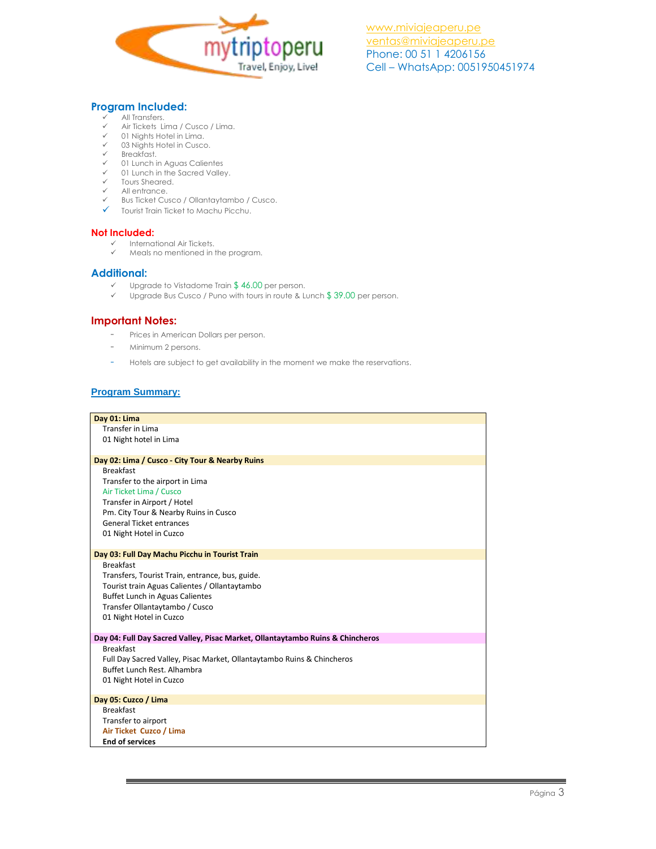

# **Program Included:**

- $\checkmark$  All Transfers.<br> $\checkmark$  Air Tickets Link
- $\checkmark$  Air Tickets Lima / Cusco / Lima.<br> $\checkmark$  01 Nights Hotel in Lima.
- $\checkmark$  01 Nights Hotel in Lima.<br> $\checkmark$  03 Nights Hotel in Cusco
- 03 Nights Hotel in Cusco.
- $\checkmark$  Breakfast.<br> $\checkmark$  01 Lunching
- 01 Lunch in Aguas Calientes
- $\checkmark$  01 Lunch in the Sacred Valley. Tours Sheared.
- $\checkmark$  All entrance.
- Bus Ticket Cusco / Ollantaytambo / Cusco.
- $\checkmark$  Tourist Train Ticket to Machu Picchu.

### **Not Included:**

- $\checkmark$  International Air Tickets.<br> $\checkmark$  Meals no mentioned in:
	- Meals no mentioned in the program.

## **Additional:**

- $\checkmark$  Upgrade to Vistadome Train \$46.00 per person.<br> $\checkmark$  Upgrade Bus Cusco / Puno with tours in route & Li
- Upgrade Bus Cusco / Puno with tours in route & Lunch \$ 39.00 per person.

## **Important Notes:**

- Prices in American Dollars per person.
- Minimum 2 persons.
- Hotels are subject to get availability in the moment we make the reservations.

## **Program Summary:**

| Day 01: Lima                                                                   |  |  |  |
|--------------------------------------------------------------------------------|--|--|--|
| <b>Transfer in Lima</b>                                                        |  |  |  |
| 01 Night hotel in Lima                                                         |  |  |  |
|                                                                                |  |  |  |
| Day 02: Lima / Cusco - City Tour & Nearby Ruins                                |  |  |  |
| <b>Breakfast</b>                                                               |  |  |  |
| Transfer to the airport in Lima                                                |  |  |  |
| Air Ticket Lima / Cusco                                                        |  |  |  |
| Transfer in Airport / Hotel                                                    |  |  |  |
| Pm. City Tour & Nearby Ruins in Cusco                                          |  |  |  |
| <b>General Ticket entrances</b>                                                |  |  |  |
| 01 Night Hotel in Cuzco                                                        |  |  |  |
| Day 03: Full Day Machu Picchu in Tourist Train                                 |  |  |  |
| <b>Breakfast</b>                                                               |  |  |  |
| Transfers, Tourist Train, entrance, bus, guide.                                |  |  |  |
| Tourist train Aguas Calientes / Ollantaytambo                                  |  |  |  |
| <b>Buffet Lunch in Aguas Calientes</b>                                         |  |  |  |
| Transfer Ollantaytambo / Cusco                                                 |  |  |  |
| 01 Night Hotel in Cuzco                                                        |  |  |  |
|                                                                                |  |  |  |
| Day 04: Full Day Sacred Valley, Pisac Market, Ollantaytambo Ruins & Chincheros |  |  |  |
| <b>Breakfast</b>                                                               |  |  |  |
| Full Day Sacred Valley, Pisac Market, Ollantaytambo Ruins & Chincheros         |  |  |  |
| Buffet Lunch Rest. Alhambra                                                    |  |  |  |
| 01 Night Hotel in Cuzco                                                        |  |  |  |
| Day 05: Cuzco / Lima                                                           |  |  |  |
| <b>Breakfast</b>                                                               |  |  |  |
| Transfer to airport                                                            |  |  |  |
| Air Ticket Cuzco / Lima                                                        |  |  |  |
| <b>End of services</b>                                                         |  |  |  |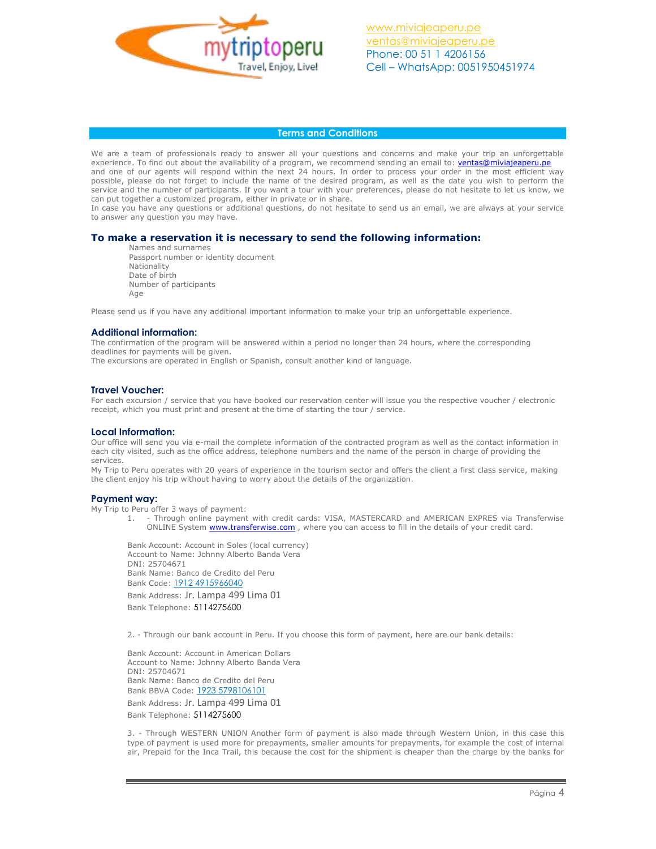

### **Terms and Conditions**

We are a team of professionals ready to answer all your questions and concerns and make your trip an unforgettable experience. To find out about the availability of a program, we recommend sending an email to: [ventas@miviajeaperu.pe](mailto:ventas@miviajeaperu.pe) and one of our agents will respond within the next 24 hours. In order to process your order in the most efficient way possible, please do not forget to include the name of the desired program, as well as the date you wish to perform the service and the number of participants. If you want a tour with your preferences, please do not hesitate to let us know, we can put together a customized program, either in private or in share.

In case you have any questions or additional questions, do not hesitate to send us an email, we are always at your service to answer any question you may have.

### **To make a reservation it is necessary to send the following information:**

Names and surnames Passport number or identity document Nationality Date of birth Number of participants Age

Please send us if you have any additional important information to make your trip an unforgettable experience.

### **Additional information:**

The confirmation of the program will be answered within a period no longer than 24 hours, where the corresponding deadlines for payments will be given.

The excursions are operated in English or Spanish, consult another kind of language.

#### **Travel Voucher:**

For each excursion / service that you have booked our reservation center will issue you the respective voucher / electronic receipt, which you must print and present at the time of starting the tour / service.

#### **Local Information:**

Our office will send you via e-mail the complete information of the contracted program as well as the contact information in each city visited, such as the office address, telephone numbers and the name of the person in charge of providing the services.

My Trip to Peru operates with 20 years of experience in the tourism sector and offers the client a first class service, making the client enjoy his trip without having to worry about the details of the organization.

#### **Payment way:**

My Trip to Peru offer 3 ways of payment:

1. - Through online payment with credit cards: VISA, MASTERCARD and AMERICAN EXPRES via Transferwise ONLINE System [www.transferwise.com](http://www.transferwise.com/), where you can access to fill in the details of your credit card.

Bank Account: Account in Soles (local currency) Account to Name: Johnny Alberto Banda Vera DNI: 25704671 Bank Name: Banco de Credito del Peru Bank Code: 1912 4915966040

Bank Address: Jr. Lampa 499 Lima 01 Bank Telephone: 5114275600

2. - Through our bank account in Peru. If you choose this form of payment, here are our bank details:

Bank Account: Account in American Dollars Account to Name: Johnny Alberto Banda Vera DNI: 25704671 Bank Name: Banco de Credito del Peru Bank BBVA Code: 1923 5798106101 Bank Address: Jr. Lampa 499 Lima 01

Bank Telephone: 5114275600

3. - Through WESTERN UNION Another form of payment is also made through Western Union, in this case this type of payment is used more for prepayments, smaller amounts for prepayments, for example the cost of internal air, Prepaid for the Inca Trail, this because the cost for the shipment is cheaper than the charge by the banks for